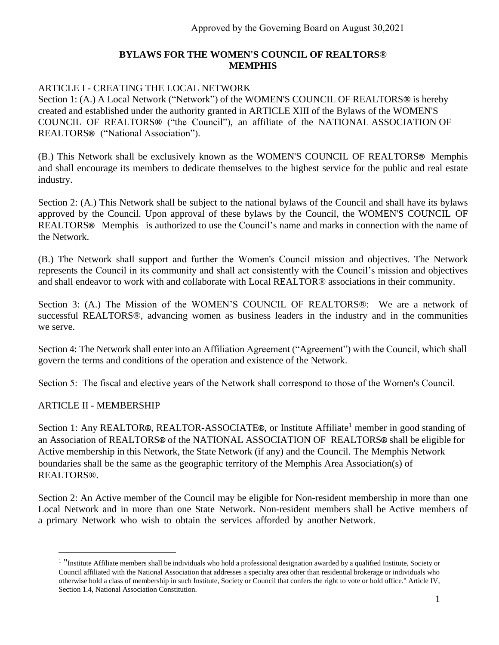#### **BYLAWS FOR THE WOMEN'S COUNCIL OF REALTORS® MEMPHIS**

#### ARTICLE I - CREATING THE LOCAL NETWORK

Section 1: (A.) A Local Network ("Network") of the WOMEN'S COUNCIL OF REALTORS**®** is hereby created and established under the authority granted in ARTICLE XIII of the Bylaws of the WOMEN'S COUNCIL OF REALTORS**®** ("the Council"), an affiliate of the NATIONAL ASSOCIATION OF REALTORS**®** ("National Association").

(B.) This Network shall be exclusively known as the WOMEN'S COUNCIL OF REALTORS**®** Memphis and shall encourage its members to dedicate themselves to the highest service for the public and real estate industry.

Section 2: (A.) This Network shall be subject to the national bylaws of the Council and shall have its bylaws approved by the Council. Upon approval of these bylaws by the Council, the WOMEN'S COUNCIL OF REALTORS**®** Memphis is authorized to use the Council's name and marks in connection with the name of the Network.

(B.) The Network shall support and further the Women's Council mission and objectives. The Network represents the Council in its community and shall act consistently with the Council's mission and objectives and shall endeavor to work with and collaborate with Local REALTOR® associations in their community.

Section 3: (A.) The Mission of the WOMEN'S COUNCIL OF REALTORS®: We are a network of successful REALTORS®, advancing women as business leaders in the industry and in the communities we serve.

Section 4: The Network shall enter into an Affiliation Agreement ("Agreement") with the Council, which shall govern the terms and conditions of the operation and existence of the Network.

Section 5: The fiscal and elective years of the Network shall correspond to those of the Women's Council.

#### ARTICLE II - MEMBERSHIP

Section 1: Any REALTOR®, REALTOR-ASSOCIATE®, or Institute Affiliate<sup>1</sup> member in good standing of an Association of REALTORS**®** of the NATIONAL ASSOCIATION OF REALTORS**®** shall be eligible for Active membership in this Network, the State Network (if any) and the Council. The Memphis Network boundaries shall be the same as the geographic territory of the Memphis Area Association(s) of REALTORS®.

Section 2: An Active member of the Council may be eligible for Non-resident membership in more than one Local Network and in more than one State Network. Non-resident members shall be Active members of a primary Network who wish to obtain the services afforded by another Network.

<sup>&</sup>lt;sup>1</sup> "Institute Affiliate members shall be individuals who hold a professional designation awarded by a qualified Institute, Society or Council affiliated with the National Association that addresses a specialty area other than residential brokerage or individuals who otherwise hold a class of membership in such Institute, Society or Council that confers the right to vote or hold office." Article IV, Section 1.4, National Association Constitution.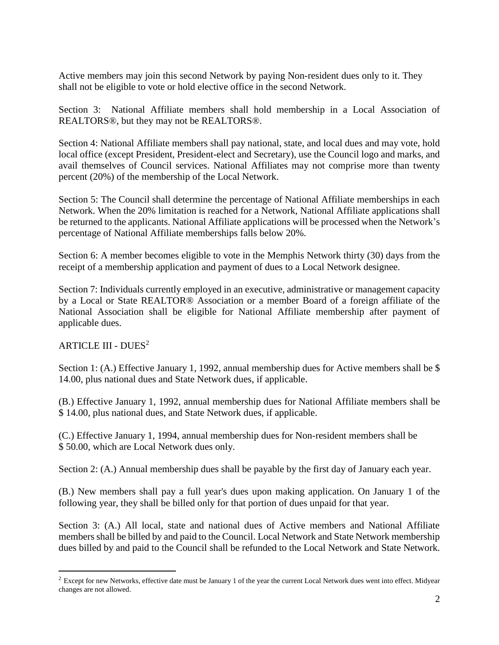Active members may join this second Network by paying Non-resident dues only to it. They shall not be eligible to vote or hold elective office in the second Network.

Section 3: National Affiliate members shall hold membership in a Local Association of REALTORS®, but they may not be REALTORS®.

Section 4: National Affiliate members shall pay national, state, and local dues and may vote, hold local office (except President, President-elect and Secretary), use the Council logo and marks, and avail themselves of Council services. National Affiliates may not comprise more than twenty percent (20%) of the membership of the Local Network.

Section 5: The Council shall determine the percentage of National Affiliate memberships in each Network. When the 20% limitation is reached for a Network, National Affiliate applications shall be returned to the applicants. National Affiliate applications will be processed when the Network's percentage of National Affiliate memberships falls below 20%.

Section 6: A member becomes eligible to vote in the Memphis Network thirty (30) days from the receipt of a membership application and payment of dues to a Local Network designee.

Section 7: Individuals currently employed in an executive, administrative or management capacity by a Local or State REALTOR® Association or a member Board of a foreign affiliate of the National Association shall be eligible for National Affiliate membership after payment of applicable dues.

#### ARTICLE III - DUES<sup>2</sup>

Section 1: (A.) Effective January 1, 1992, annual membership dues for Active members shall be \$ 14.00, plus national dues and State Network dues, if applicable.

(B.) Effective January 1, 1992, annual membership dues for National Affiliate members shall be \$ 14.00, plus national dues, and State Network dues, if applicable.

(C.) Effective January 1, 1994, annual membership dues for Non-resident members shall be \$ 50.00, which are Local Network dues only.

Section 2: (A.) Annual membership dues shall be payable by the first day of January each year.

(B.) New members shall pay a full year's dues upon making application. On January 1 of the following year, they shall be billed only for that portion of dues unpaid for that year.

Section 3: (A.) All local, state and national dues of Active members and National Affiliate members shall be billed by and paid to the Council. Local Network and State Network membership dues billed by and paid to the Council shall be refunded to the Local Network and State Network.

<sup>&</sup>lt;sup>2</sup> Except for new Networks, effective date must be January 1 of the year the current Local Network dues went into effect. Midyear changes are not allowed.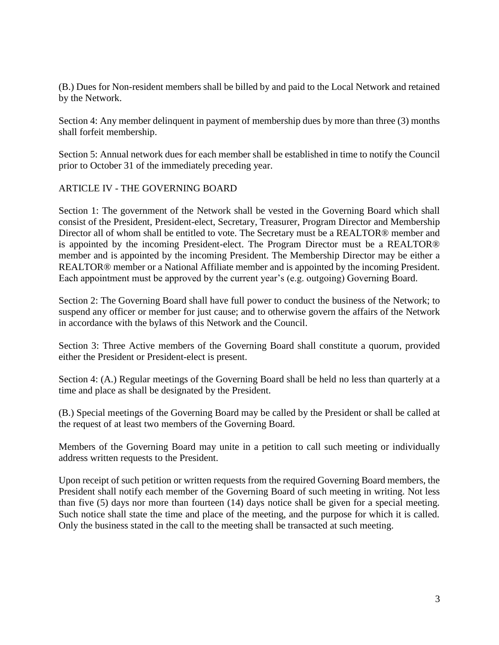(B.) Dues for Non-resident members shall be billed by and paid to the Local Network and retained by the Network.

Section 4: Any member delinquent in payment of membership dues by more than three (3) months shall forfeit membership.

Section 5: Annual network dues for each member shall be established in time to notify the Council prior to October 31 of the immediately preceding year.

#### ARTICLE IV - THE GOVERNING BOARD

Section 1: The government of the Network shall be vested in the Governing Board which shall consist of the President, President-elect, Secretary, Treasurer, Program Director and Membership Director all of whom shall be entitled to vote. The Secretary must be a REALTOR® member and is appointed by the incoming President-elect. The Program Director must be a REALTOR® member and is appointed by the incoming President. The Membership Director may be either a REALTOR® member or a National Affiliate member and is appointed by the incoming President. Each appointment must be approved by the current year's (e.g. outgoing) Governing Board.

Section 2: The Governing Board shall have full power to conduct the business of the Network; to suspend any officer or member for just cause; and to otherwise govern the affairs of the Network in accordance with the bylaws of this Network and the Council.

Section 3: Three Active members of the Governing Board shall constitute a quorum, provided either the President or President-elect is present.

Section 4: (A.) Regular meetings of the Governing Board shall be held no less than quarterly at a time and place as shall be designated by the President.

(B.) Special meetings of the Governing Board may be called by the President or shall be called at the request of at least two members of the Governing Board.

Members of the Governing Board may unite in a petition to call such meeting or individually address written requests to the President.

Upon receipt of such petition or written requests from the required Governing Board members, the President shall notify each member of the Governing Board of such meeting in writing. Not less than five (5) days nor more than fourteen (14) days notice shall be given for a special meeting. Such notice shall state the time and place of the meeting, and the purpose for which it is called. Only the business stated in the call to the meeting shall be transacted at such meeting.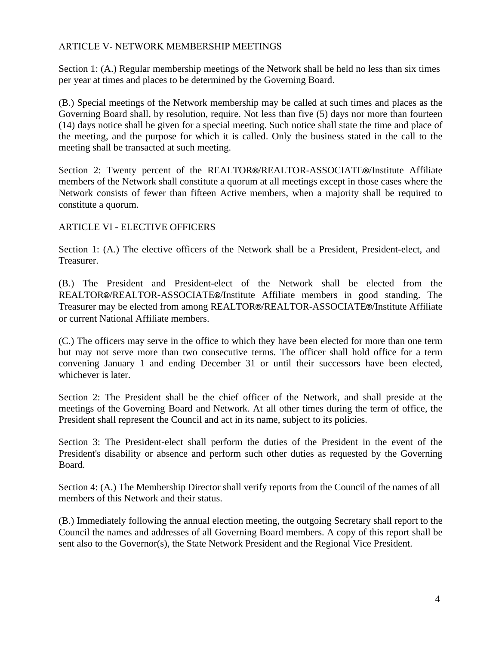#### ARTICLE V- NETWORK MEMBERSHIP MEETINGS

Section 1: (A.) Regular membership meetings of the Network shall be held no less than six times per year at times and places to be determined by the Governing Board.

(B.) Special meetings of the Network membership may be called at such times and places as the Governing Board shall, by resolution, require. Not less than five (5) days nor more than fourteen (14) days notice shall be given for a special meeting. Such notice shall state the time and place of the meeting, and the purpose for which it is called. Only the business stated in the call to the meeting shall be transacted at such meeting.

Section 2: Twenty percent of the REALTOR**®**/REALTOR-ASSOCIATE**®**/Institute Affiliate members of the Network shall constitute a quorum at all meetings except in those cases where the Network consists of fewer than fifteen Active members, when a majority shall be required to constitute a quorum.

### ARTICLE VI - ELECTIVE OFFICERS

Section 1: (A.) The elective officers of the Network shall be a President, President-elect, and Treasurer.

(B.) The President and President-elect of the Network shall be elected from the REALTOR**®**/REALTOR-ASSOCIATE**®**/Institute Affiliate members in good standing. The Treasurer may be elected from among REALTOR**®**/REALTOR-ASSOCIATE**®**/Institute Affiliate or current National Affiliate members.

(C.) The officers may serve in the office to which they have been elected for more than one term but may not serve more than two consecutive terms. The officer shall hold office for a term convening January 1 and ending December 31 or until their successors have been elected, whichever is later.

Section 2: The President shall be the chief officer of the Network, and shall preside at the meetings of the Governing Board and Network. At all other times during the term of office, the President shall represent the Council and act in its name, subject to its policies.

Section 3: The President-elect shall perform the duties of the President in the event of the President's disability or absence and perform such other duties as requested by the Governing Board.

Section 4: (A.) The Membership Director shall verify reports from the Council of the names of all members of this Network and their status.

(B.) Immediately following the annual election meeting, the outgoing Secretary shall report to the Council the names and addresses of all Governing Board members. A copy of this report shall be sent also to the Governor(s), the State Network President and the Regional Vice President.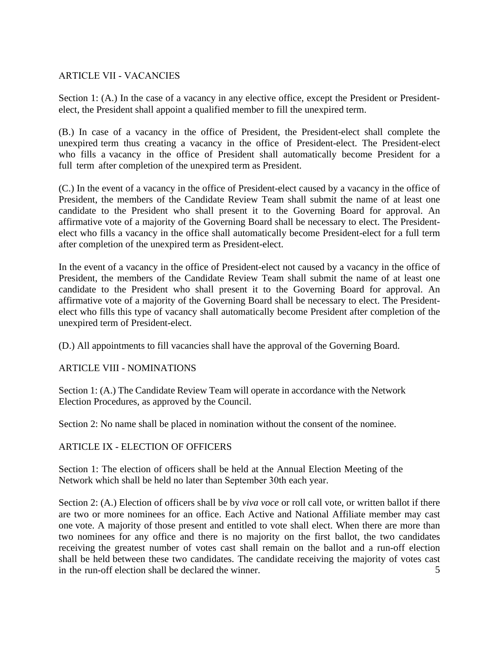#### ARTICLE VII - VACANCIES

Section 1: (A.) In the case of a vacancy in any elective office, except the President or Presidentelect, the President shall appoint a qualified member to fill the unexpired term.

(B.) In case of a vacancy in the office of President, the President-elect shall complete the unexpired term thus creating a vacancy in the office of President-elect. The President-elect who fills a vacancy in the office of President shall automatically become President for a full term after completion of the unexpired term as President.

(C.) In the event of a vacancy in the office of President-elect caused by a vacancy in the office of President, the members of the Candidate Review Team shall submit the name of at least one candidate to the President who shall present it to the Governing Board for approval. An affirmative vote of a majority of the Governing Board shall be necessary to elect. The Presidentelect who fills a vacancy in the office shall automatically become President-elect for a full term after completion of the unexpired term as President-elect.

In the event of a vacancy in the office of President-elect not caused by a vacancy in the office of President, the members of the Candidate Review Team shall submit the name of at least one candidate to the President who shall present it to the Governing Board for approval. An affirmative vote of a majority of the Governing Board shall be necessary to elect. The Presidentelect who fills this type of vacancy shall automatically become President after completion of the unexpired term of President-elect.

(D.) All appointments to fill vacancies shall have the approval of the Governing Board.

#### ARTICLE VIII - NOMINATIONS

Section 1: (A.) The Candidate Review Team will operate in accordance with the Network Election Procedures, as approved by the Council.

Section 2: No name shall be placed in nomination without the consent of the nominee.

#### ARTICLE IX - ELECTION OF OFFICERS

Section 1: The election of officers shall be held at the Annual Election Meeting of the Network which shall be held no later than September 30th each year.

5 Section 2: (A.) Election of officers shall be by *viva voce* or roll call vote, or written ballot if there are two or more nominees for an office. Each Active and National Affiliate member may cast one vote. A majority of those present and entitled to vote shall elect. When there are more than two nominees for any office and there is no majority on the first ballot, the two candidates receiving the greatest number of votes cast shall remain on the ballot and a run-off election shall be held between these two candidates. The candidate receiving the majority of votes cast in the run-off election shall be declared the winner.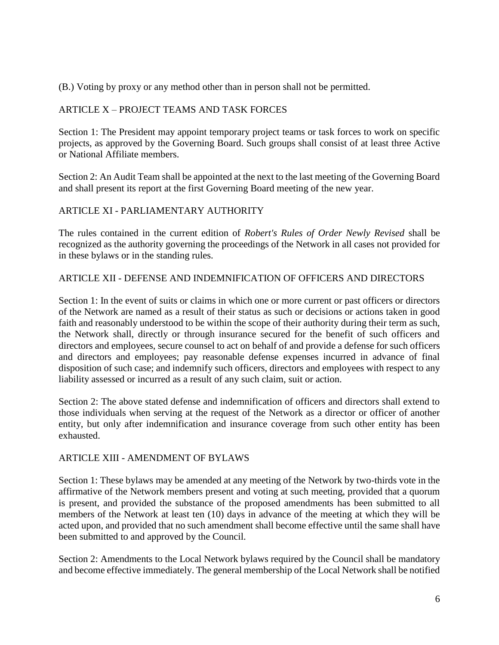(B.) Voting by proxy or any method other than in person shall not be permitted.

# ARTICLE X – PROJECT TEAMS AND TASK FORCES

Section 1: The President may appoint temporary project teams or task forces to work on specific projects, as approved by the Governing Board. Such groups shall consist of at least three Active or National Affiliate members.

Section 2: An Audit Team shall be appointed at the next to the last meeting of the Governing Board and shall present its report at the first Governing Board meeting of the new year.

# ARTICLE XI - PARLIAMENTARY AUTHORITY

The rules contained in the current edition of *Robert's Rules of Order Newly Revised* shall be recognized as the authority governing the proceedings of the Network in all cases not provided for in these bylaws or in the standing rules.

## ARTICLE XII - DEFENSE AND INDEMNIFICATION OF OFFICERS AND DIRECTORS

Section 1: In the event of suits or claims in which one or more current or past officers or directors of the Network are named as a result of their status as such or decisions or actions taken in good faith and reasonably understood to be within the scope of their authority during their term as such, the Network shall, directly or through insurance secured for the benefit of such officers and directors and employees, secure counsel to act on behalf of and provide a defense for such officers and directors and employees; pay reasonable defense expenses incurred in advance of final disposition of such case; and indemnify such officers, directors and employees with respect to any liability assessed or incurred as a result of any such claim, suit or action.

Section 2: The above stated defense and indemnification of officers and directors shall extend to those individuals when serving at the request of the Network as a director or officer of another entity, but only after indemnification and insurance coverage from such other entity has been exhausted.

#### ARTICLE XIII - AMENDMENT OF BYLAWS

Section 1: These bylaws may be amended at any meeting of the Network by two-thirds vote in the affirmative of the Network members present and voting at such meeting, provided that a quorum is present, and provided the substance of the proposed amendments has been submitted to all members of the Network at least ten (10) days in advance of the meeting at which they will be acted upon, and provided that no such amendment shall become effective until the same shall have been submitted to and approved by the Council.

Section 2: Amendments to the Local Network bylaws required by the Council shall be mandatory and become effective immediately. The general membership of the Local Network shall be notified